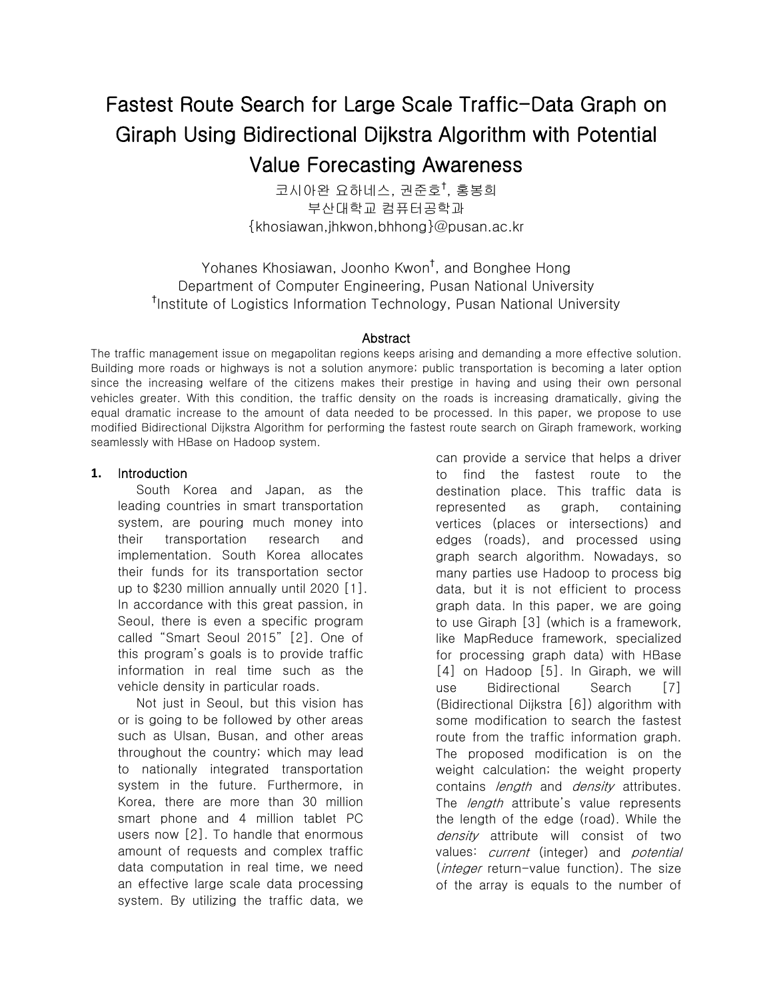# Fastest Route Search for Large Scale Traffic-Data Graph on Giraph Using Bidirectional Dijkstra Algorithm with Potential Value Forecasting Awareness

코시아완 요하네스, 권준호† , 홍봉희 부산대학교 컴퓨터공학과 {khosiawan,jhkwon,bhhong}@pusan.ac.kr

Yohanes Khosiawan, Joonho Kwon† , and Bonghee Hong Department of Computer Engineering, Pusan National University † Institute of Logistics Information Technology, Pusan National University

#### Abstract

The traffic management issue on megapolitan regions keeps arising and demanding a more effective solution. Building more roads or highways is not a solution anymore; public transportation is becoming a later option since the increasing welfare of the citizens makes their prestige in having and using their own personal vehicles greater. With this condition, the traffic density on the roads is increasing dramatically, giving the equal dramatic increase to the amount of data needed to be processed. In this paper, we propose to use modified Bidirectional Dijkstra Algorithm for performing the fastest route search on Giraph framework, working seamlessly with HBase on Hadoop system.

#### **1.** Introduction

South Korea and Japan, as the leading countries in smart transportation system, are pouring much money into their transportation research and implementation. South Korea allocates their funds for its transportation sector up to \$230 million annually until 2020 [1]. In accordance with this great passion, in Seoul, there is even a specific program called "Smart Seoul 2015" [2]. One of this program's goals is to provide traffic information in real time such as the vehicle density in particular roads.

Not just in Seoul, but this vision has or is going to be followed by other areas such as Ulsan, Busan, and other areas throughout the country; which may lead to nationally integrated transportation system in the future. Furthermore, in Korea, there are more than 30 million smart phone and 4 million tablet PC users now [2]. To handle that enormous amount of requests and complex traffic data computation in real time, we need an effective large scale data processing system. By utilizing the traffic data, we

can provide a service that helps a driver to find the fastest route to the destination place. This traffic data is represented as graph, containing vertices (places or intersections) and edges (roads), and processed using graph search algorithm. Nowadays, so many parties use Hadoop to process big data, but it is not efficient to process graph data. In this paper, we are going to use Giraph [3] (which is a framework, like MapReduce framework, specialized for processing graph data) with HBase [4] on Hadoop [5]. In Giraph, we will use Bidirectional Search [7] (Bidirectional Dijkstra [6]) algorithm with some modification to search the fastest route from the traffic information graph. The proposed modification is on the weight calculation; the weight property contains *length* and *density* attributes. The *length* attribute's value represents the length of the edge (road). While the density attribute will consist of two values: *current* (integer) and *potential* (*integer* return-value function). The size of the array is equals to the number of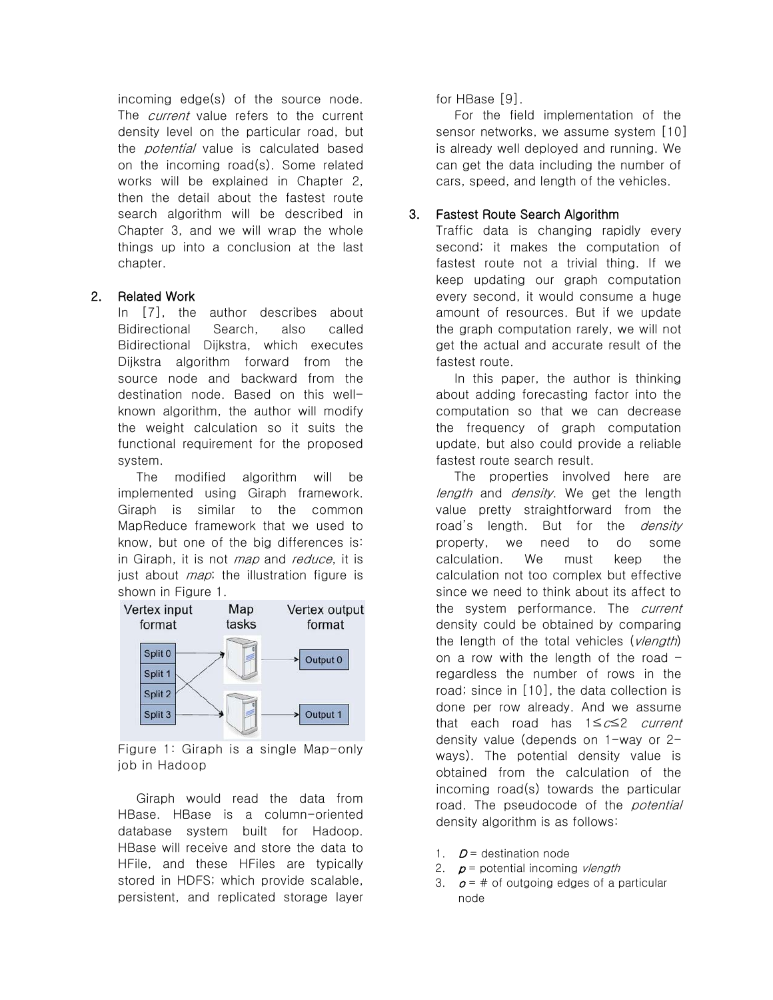incoming edge(s) of the source node. The *current* value refers to the current density level on the particular road, but the *potential* value is calculated based on the incoming road(s). Some related works will be explained in Chapter 2, then the detail about the fastest route search algorithm will be described in Chapter 3, and we will wrap the whole things up into a conclusion at the last chapter.

## 2. Related Work

In [7], the author describes about Bidirectional Search, also called Bidirectional Dijkstra, which executes Dijkstra algorithm forward from the source node and backward from the destination node. Based on this wellknown algorithm, the author will modify the weight calculation so it suits the functional requirement for the proposed system.

The modified algorithm will be implemented using Giraph framework. Giraph is similar to the common MapReduce framework that we used to know, but one of the big differences is: in Giraph, it is not *map* and *reduce*, it is just about *map*; the illustration figure is shown in Figure 1.



Figure 1: Giraph is a single Map-only job in Hadoop

Giraph would read the data from HBase. HBase is a column-oriented database system built for Hadoop. HBase will receive and store the data to HFile, and these HFiles are typically stored in HDFS; which provide scalable, persistent, and replicated storage layer for HBase [9].

For the field implementation of the sensor networks, we assume system [10] is already well deployed and running. We can get the data including the number of cars, speed, and length of the vehicles.

## 3. Fastest Route Search Algorithm

Traffic data is changing rapidly every second; it makes the computation of fastest route not a trivial thing. If we keep updating our graph computation every second, it would consume a huge amount of resources. But if we update the graph computation rarely, we will not get the actual and accurate result of the fastest route.

In this paper, the author is thinking about adding forecasting factor into the computation so that we can decrease the frequency of graph computation update, but also could provide a reliable fastest route search result.

The properties involved here are length and density. We get the length value pretty straightforward from the road's length. But for the *density* property, we need to do some calculation. We must keep the calculation not too complex but effective since we need to think about its affect to the system performance. The current density could be obtained by comparing the length of the total vehicles (vlength) on a row with the length of the road  $$ regardless the number of rows in the road; since in [10], the data collection is done per row already. And we assume that each road has 1≤c≤2 current density value (depends on 1-way or 2 ways). The potential density value is obtained from the calculation of the incoming road(s) towards the particular road. The pseudocode of the *potential* density algorithm is as follows:

- 1.  $D =$  destination node
- 2.  $p =$  potential incoming *vlength*
- 3.  $\sigma = \#$  of outgoing edges of a particular node